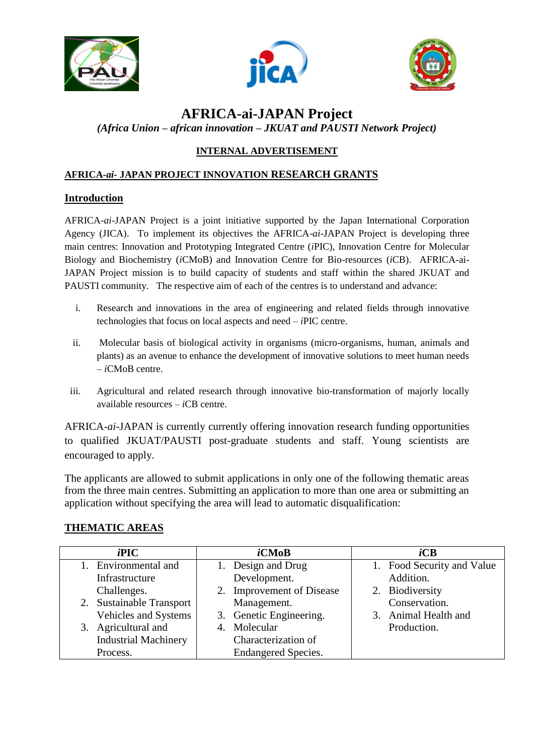





# **AFRICA-ai-JAPAN Project** *(Africa Union – african innovation – JKUAT and PAUSTI Network Project)*

## **INTERNAL ADVERTISEMENT**

#### **AFRICA***-ai-* **JAPAN PROJECT INNOVATION RESEARCH GRANTS**

#### **Introduction**

AFRICA-*ai*-JAPAN Project is a joint initiative supported by the Japan International Corporation Agency (JICA). To implement its objectives the AFRICA-*ai*-JAPAN Project is developing three main centres: Innovation and Prototyping Integrated Centre (*i*PIC), Innovation Centre for Molecular Biology and Biochemistry (*i*CMoB) and Innovation Centre for Bio-resources (*i*CB). AFRICA-ai-JAPAN Project mission is to build capacity of students and staff within the shared JKUAT and PAUSTI community. The respective aim of each of the centres is to understand and advance:

- i. Research and innovations in the area of engineering and related fields through innovative technologies that focus on local aspects and need – *i*PIC centre.
- ii. Molecular basis of biological activity in organisms (micro-organisms, human, animals and plants) as an avenue to enhance the development of innovative solutions to meet human needs – *i*CMoB centre.
- iii. Agricultural and related research through innovative bio-transformation of majorly locally available resources – *i*CB centre.

AFRICA-*ai*-JAPAN is currently currently offering innovation research funding opportunities to qualified JKUAT/PAUSTI post-graduate students and staff. Young scientists are encouraged to apply.

The applicants are allowed to submit applications in only one of the following thematic areas from the three main centres. Submitting an application to more than one area or submitting an application without specifying the area will lead to automatic disqualification:

### **THEMATIC AREAS**

| i <sup>PIC</sup>            | <i>i</i> CMoB             | iCB                           |
|-----------------------------|---------------------------|-------------------------------|
| 1. Environmental and        | 1. Design and Drug        | Food Security and Value<br>1. |
| Infrastructure              | Development.              | Addition.                     |
| Challenges.                 | 2. Improvement of Disease | 2. Biodiversity               |
| 2. Sustainable Transport    | Management.               | Conservation.                 |
| Vehicles and Systems        | 3. Genetic Engineering.   | 3. Animal Health and          |
| 3. Agricultural and         | 4. Molecular              | Production.                   |
| <b>Industrial Machinery</b> | Characterization of       |                               |
| Process.                    | Endangered Species.       |                               |